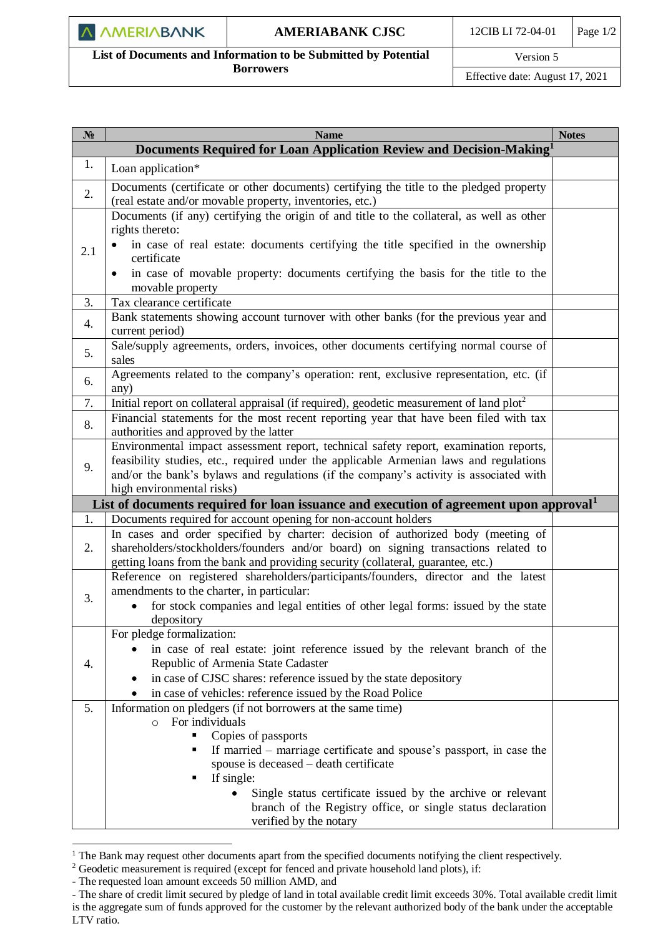## **AMERIABANK CJSC** 12CIB LI 72-04-01 Page 1/2

 $\overline{\phantom{a}}$ **List of Documents and Information to be Submitted by Potential Borrowers**

Version 5

Effective date: August 17, 2021

| N <sub>2</sub> | <b>Name</b>                                                                                                                                         | <b>Notes</b> |
|----------------|-----------------------------------------------------------------------------------------------------------------------------------------------------|--------------|
|                | Documents Required for Loan Application Review and Decision-Making <sup>1</sup>                                                                     |              |
| 1.             | Loan application*                                                                                                                                   |              |
| 2.             | Documents (certificate or other documents) certifying the title to the pledged property<br>(real estate and/or movable property, inventories, etc.) |              |
|                | Documents (if any) certifying the origin of and title to the collateral, as well as other<br>rights thereto:                                        |              |
| 2.1            | in case of real estate: documents certifying the title specified in the ownership<br>certificate                                                    |              |
|                | in case of movable property: documents certifying the basis for the title to the<br>$\bullet$<br>movable property                                   |              |
| 3.             | Tax clearance certificate                                                                                                                           |              |
| 4.             | Bank statements showing account turnover with other banks (for the previous year and<br>current period)                                             |              |
| 5.             | Sale/supply agreements, orders, invoices, other documents certifying normal course of<br>sales                                                      |              |
| 6.             | Agreements related to the company's operation: rent, exclusive representation, etc. (if<br>any)                                                     |              |
| 7.             | Initial report on collateral appraisal (if required), geodetic measurement of land plot <sup>2</sup>                                                |              |
| 8.             | Financial statements for the most recent reporting year that have been filed with tax                                                               |              |
|                | authorities and approved by the latter                                                                                                              |              |
| 9.             | Environmental impact assessment report, technical safety report, examination reports,                                                               |              |
|                | feasibility studies, etc., required under the applicable Armenian laws and regulations                                                              |              |
|                | and/or the bank's bylaws and regulations (if the company's activity is associated with                                                              |              |
|                | high environmental risks)<br>List of documents required for loan issuance and execution of agreement upon approval <sup>1</sup>                     |              |
| 1.             | Documents required for account opening for non-account holders                                                                                      |              |
|                | In cases and order specified by charter: decision of authorized body (meeting of                                                                    |              |
| 2.             | shareholders/stockholders/founders and/or board) on signing transactions related to                                                                 |              |
|                | getting loans from the bank and providing security (collateral, guarantee, etc.)                                                                    |              |
|                | Reference on registered shareholders/participants/founders, director and the latest                                                                 |              |
| 3.             | amendments to the charter, in particular:                                                                                                           |              |
|                | for stock companies and legal entities of other legal forms: issued by the state<br>depository                                                      |              |
|                | For pledge formalization:                                                                                                                           |              |
|                | in case of real estate: joint reference issued by the relevant branch of the                                                                        |              |
| 4.             | Republic of Armenia State Cadaster                                                                                                                  |              |
|                | in case of CJSC shares: reference issued by the state depository                                                                                    |              |
|                | in case of vehicles: reference issued by the Road Police                                                                                            |              |
| 5.             | Information on pledgers (if not borrowers at the same time)                                                                                         |              |
|                | For individuals<br>$\circ$                                                                                                                          |              |
|                | Copies of passports                                                                                                                                 |              |
|                | If married - marriage certificate and spouse's passport, in case the                                                                                |              |
|                | spouse is deceased - death certificate                                                                                                              |              |
|                | If single:                                                                                                                                          |              |
|                | Single status certificate issued by the archive or relevant<br>branch of the Registry office, or single status declaration                          |              |
|                | verified by the notary                                                                                                                              |              |
|                |                                                                                                                                                     |              |

<sup>&</sup>lt;sup>1</sup> The Bank may request other documents apart from the specified documents notifying the client respectively.

l

<sup>&</sup>lt;sup>2</sup> Geodetic measurement is required (except for fenced and private household land plots), if:

<sup>-</sup> The requested loan amount exceeds 50 million AMD, and

<sup>-</sup> The share of credit limit secured by pledge of land in total available credit limit exceeds 30%. Total available credit limit is the aggregate sum of funds approved for the customer by the relevant authorized body of the bank under the acceptable LTV ratio.